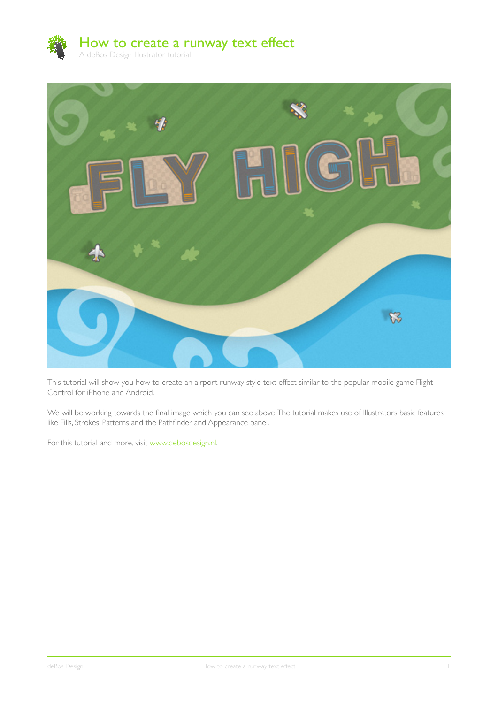



This tutorial will show you how to create an airport runway style text effect similar to the popular mobile game Flight Control for iPhone and Android.

We will be working towards the final image which you can see above. The tutorial makes use of Illustrators basic features like Fills, Strokes, Patterns and the Pathfinder and Appearance panel.

For this tutorial and more, visit www.debosdesign.nl.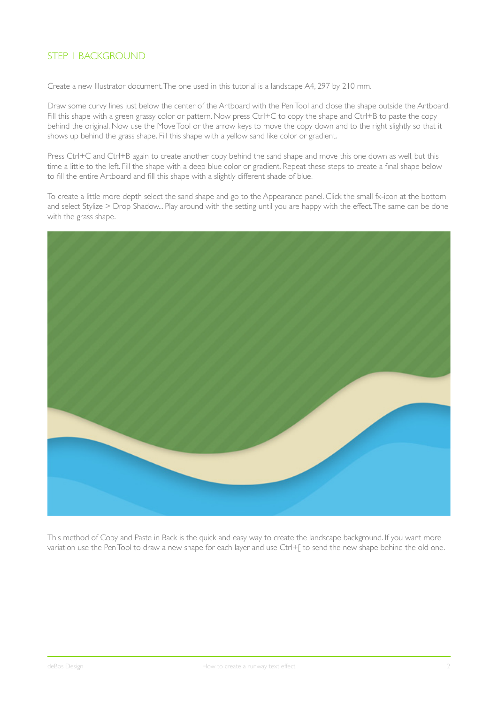## STEP 1 BACKGROUND

Create a new Illustrator document. The one used in this tutorial is a landscape A4, 297 by 210 mm.

Draw some curvy lines just below the center of the Artboard with the Pen Tool and close the shape outside the Artboard. Fill this shape with a green grassy color or pattern. Now press Ctrl+C to copy the shape and Ctrl+B to paste the copy behind the original. Now use the Move Tool or the arrow keys to move the copy down and to the right slightly so that it shows up behind the grass shape. Fill this shape with a yellow sand like color or gradient.

Press Ctrl+C and Ctrl+B again to create another copy behind the sand shape and move this one down as well, but this time a little to the left. Fill the shape with a deep blue color or gradient. Repeat these steps to create a final shape below to fill the entire Artboard and fill this shape with a slightly different shade of blue.

To create a little more depth select the sand shape and go to the Appearance panel. Click the small fx-icon at the bottom and select Stylize > Drop Shadow... Play around with the setting until you are happy with the effect. The same can be done with the grass shape.



This method of Copy and Paste in Back is the quick and easy way to create the landscape background. If you want more variation use the Pen Tool to draw a new shape for each layer and use Ctrl+[ to send the new shape behind the old one.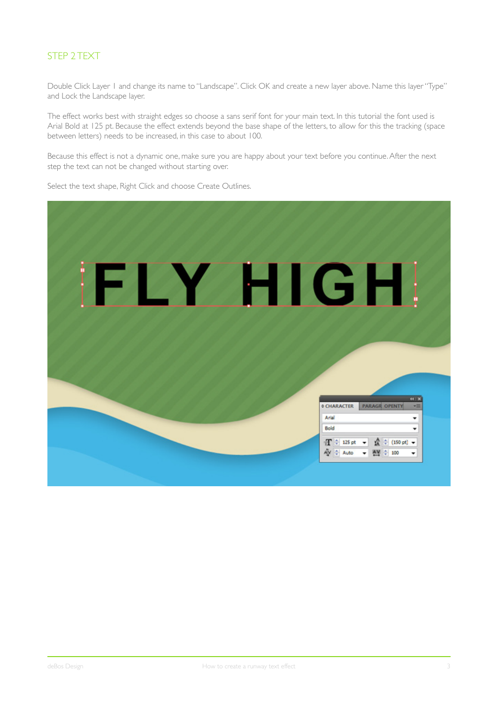# STEP 2 TEXT

Double Click Layer 1 and change its name to "Landscape". Click OK and create a new layer above. Name this layer "Type" and Lock the Landscape layer.

The effect works best with straight edges so choose a sans serif font for your main text. In this tutorial the font used is Arial Bold at 125 pt. Because the effect extends beyond the base shape of the letters, to allow for this the tracking (space between letters) needs to be increased, in this case to about 100.

Because this effect is not a dynamic one, make sure you are happy about your text before you continue. After the next step the text can not be changed without starting over.

Select the text shape, Right Click and choose Create Outlines.

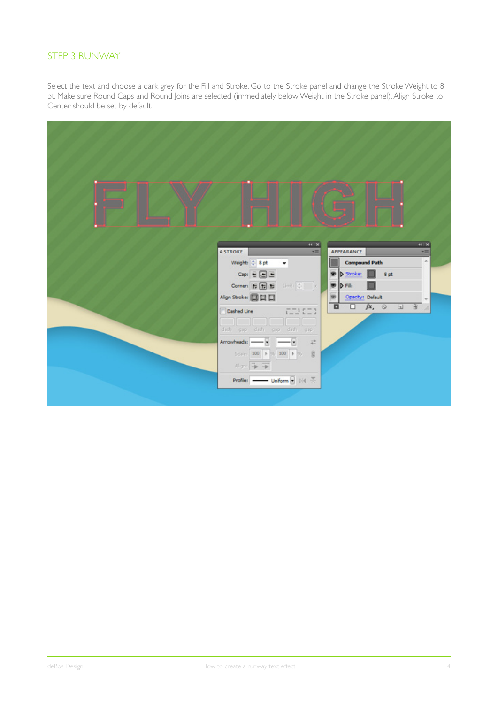#### STEP 3 RUNWAY

Select the text and choose a dark grey for the Fill and Stroke. Go to the Stroke panel and change the Stroke Weight to 8 pt. Make sure Round Caps and Round Joins are selected (immediately below Weight in the Stroke panel). Align Stroke to Center should be set by default.

|                                                                                                                                                                                                                                                                                                                                                                                                                                              | $44$ $\times$                                     | (1)  |
|----------------------------------------------------------------------------------------------------------------------------------------------------------------------------------------------------------------------------------------------------------------------------------------------------------------------------------------------------------------------------------------------------------------------------------------------|---------------------------------------------------|------|
| <b>¢ STROKE</b>                                                                                                                                                                                                                                                                                                                                                                                                                              | APPEARANCE<br>×III                                | ×m   |
| Weight: 0 8 pt                                                                                                                                                                                                                                                                                                                                                                                                                               | <b>Compound Path</b>                              | A.   |
| $\text{Cap}(\begin{smallmatrix} \oplus \\ \oplus \end{smallmatrix} \begin{smallmatrix} \boxminus \\ \oplus \end{smallmatrix} \begin{smallmatrix} \boxminus \end{smallmatrix}$                                                                                                                                                                                                                                                                | D Stroke:<br>۳                                    | 8 pt |
| $\textbf{Corner} \begin{array}{ c c c } \hline \textbf{F} & \textbf{F} \end{array} \begin{array}{ c c c } \hline \textbf{F} & \text{if } \text{F} \end{array} \begin{array}{ c c c } \hline \text{F} & \text{if } \text{F} \end{array} \begin{array}{ c c c c } \hline \text{F} & \text{if } \text{F} \end{array} \begin{array}{ c c c c } \hline \text{F} & \text{if } \text{F} \end{array} \begin{array}{ c c c c c } \hline \text{F} & \$ | D Fill:<br>罗                                      |      |
| Align Stroke: III III                                                                                                                                                                                                                                                                                                                                                                                                                        | Opacity: Default<br>嫐                             | ÷    |
| Dashed Line<br>$7 - 17 - 3$                                                                                                                                                                                                                                                                                                                                                                                                                  | $\Box$ $f$ <b>x</b> , $\odot$ $\Box$ $\odot$<br>o |      |
| کا کا کا کا کا                                                                                                                                                                                                                                                                                                                                                                                                                               |                                                   |      |
| dash gap dash gap dash gap                                                                                                                                                                                                                                                                                                                                                                                                                   |                                                   |      |
| Arrowheads: - - - -                                                                                                                                                                                                                                                                                                                                                                                                                          | $\overrightarrow{a}$                              |      |
| Scale: 100 $\rightarrow$ % 100 $\rightarrow$ % .                                                                                                                                                                                                                                                                                                                                                                                             | 8                                                 |      |
| Algn: 手 =                                                                                                                                                                                                                                                                                                                                                                                                                                    |                                                   |      |
| Profile: $\longrightarrow$ Uniform $\frac{1}{2}$ $\mathbb{N}4 \times$                                                                                                                                                                                                                                                                                                                                                                        |                                                   |      |
|                                                                                                                                                                                                                                                                                                                                                                                                                                              |                                                   |      |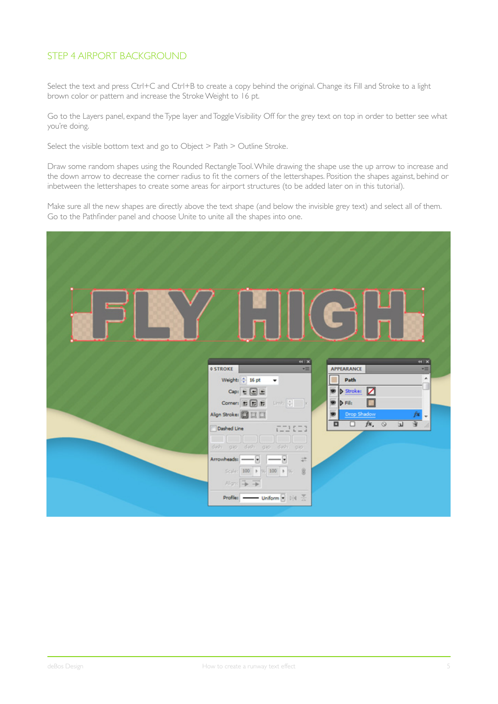#### STEP 4 AIRPORT BACKGROUND

Select the text and press Ctrl+C and Ctrl+B to create a copy behind the original. Change its Fill and Stroke to a light brown color or pattern and increase the Stroke Weight to 16 pt.

Go to the Layers panel, expand the Type layer and Toggle Visibility Off for the grey text on top in order to better see what you're doing.

Select the visible bottom text and go to Object > Path > Outline Stroke.

Draw some random shapes using the Rounded Rectangle Tool. While drawing the shape use the up arrow to increase and the down arrow to decrease the corner radius to fit the corners of the lettershapes. Position the shapes against, behind or inbetween the lettershapes to create some areas for airport structures (to be added later on in this tutorial).

Make sure all the new shapes are directly above the text shape (and below the invisible grey text) and select all of them. Go to the Pathfinder panel and choose Unite to unite all the shapes into one.

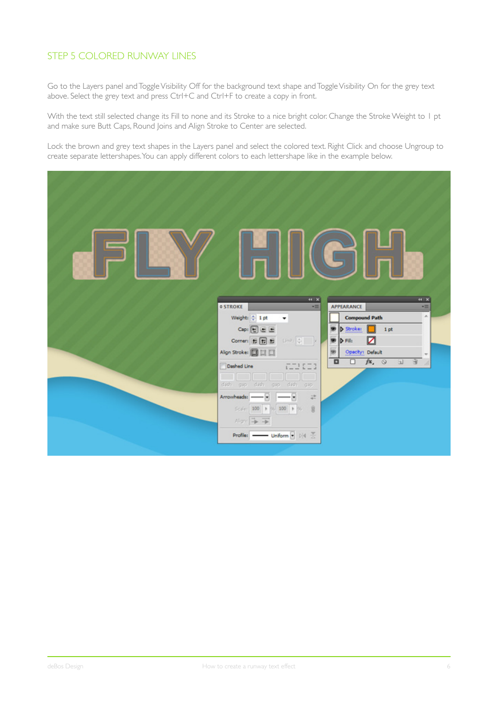### STEP 5 COLORED RUNWAY LINES

Go to the Layers panel and Toggle Visibility Off for the background text shape and Toggle Visibility On for the grey text above. Select the grey text and press Ctrl+C and Ctrl+F to create a copy in front.

With the text still selected change its Fill to none and its Stroke to a nice bright color. Change the Stroke Weight to 1 pt and make sure Butt Caps, Round Joins and Align Stroke to Center are selected.

Lock the brown and grey text shapes in the Layers panel and select the colored text. Right Click and choose Ungroup to create separate lettershapes. You can apply different colors to each lettershape like in the example below.

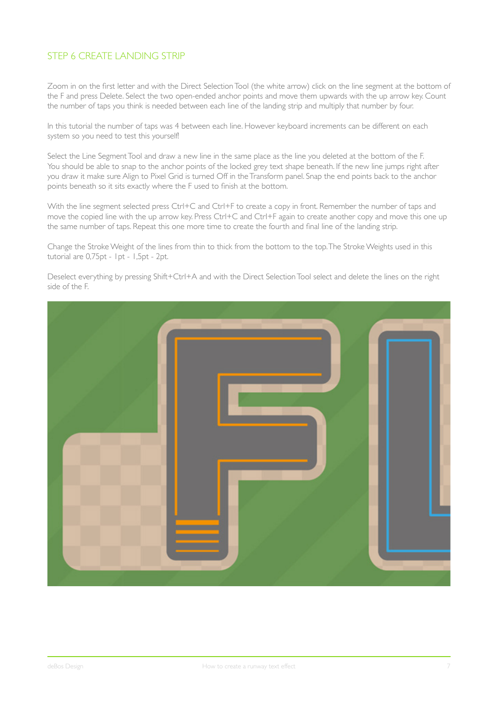### STEP 6 CREATE LANDING STRIP

Zoom in on the first letter and with the Direct Selection Tool (the white arrow) click on the line segment at the bottom of the F and press Delete. Select the two open-ended anchor points and move them upwards with the up arrow key. Count the number of taps you think is needed between each line of the landing strip and multiply that number by four.

In this tutorial the number of taps was 4 between each line. However keyboard increments can be different on each system so you need to test this yourself!

Select the Line Segment Tool and draw a new line in the same place as the line you deleted at the bottom of the F. You should be able to snap to the anchor points of the locked grey text shape beneath. If the new line jumps right after you draw it make sure Align to Pixel Grid is turned Off in the Transform panel. Snap the end points back to the anchor points beneath so it sits exactly where the F used to finish at the bottom.

With the line segment selected press Ctrl+C and Ctrl+F to create a copy in front. Remember the number of taps and move the copied line with the up arrow key. Press Ctrl+C and Ctrl+F again to create another copy and move this one up the same number of taps. Repeat this one more time to create the fourth and final line of the landing strip.

Change the Stroke Weight of the lines from thin to thick from the bottom to the top. The Stroke Weights used in this tutorial are 0,75pt - 1pt - 1,5pt - 2pt.

Deselect everything by pressing Shift+Ctrl+A and with the Direct Selection Tool select and delete the lines on the right side of the F.

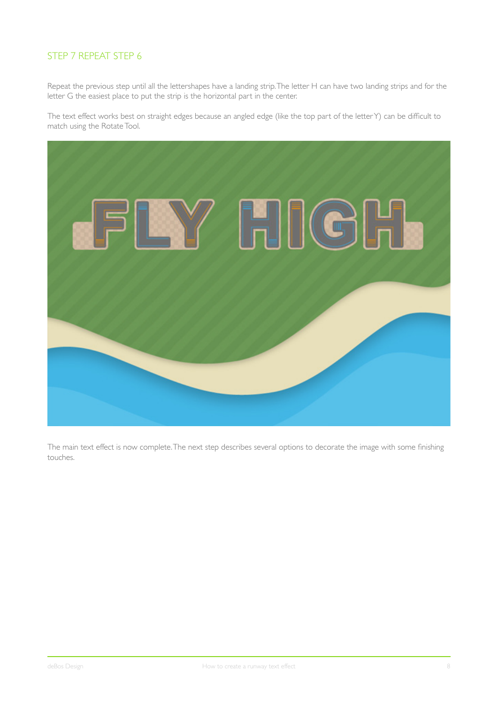### STEP 7 REPEAT STEP 6

Repeat the previous step until all the lettershapes have a landing strip. The letter H can have two landing strips and for the letter G the easiest place to put the strip is the horizontal part in the center.

The text effect works best on straight edges because an angled edge (like the top part of the letter Y) can be difficult to match using the Rotate Tool.



The main text effect is now complete. The next step describes several options to decorate the image with some finishing touches.